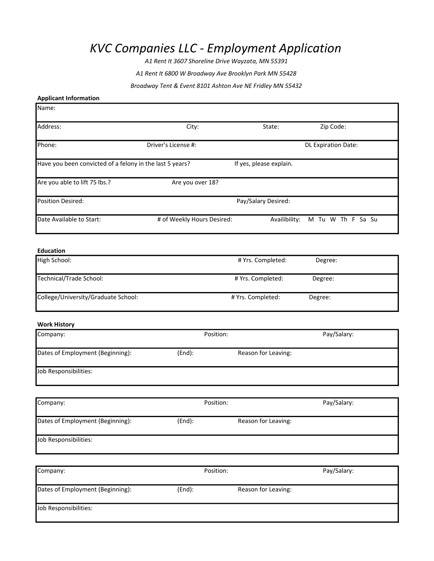# KVC Companies LLC - Employment Application

A1 Rent It 3607 Shoreline Drive Wayzata, MN 55391

A1 Rent It 6800 W Broadway Ave Brooklyn Park MN 55428

Broadway Tent & Event 8101 Ashton Ave NE Fridley MN 55432

# Applicant Information

Name:

| Address:                                                 | City:                      | State:                  | Zip Code:                  |
|----------------------------------------------------------|----------------------------|-------------------------|----------------------------|
| Phone:                                                   | Driver's License #:        |                         | <b>DL Expiration Date:</b> |
| Have you been convicted of a felony in the last 5 years? |                            | If yes, please explain. |                            |
| Are you able to lift 75 lbs.?                            | Are you over 18?           |                         |                            |
| <b>Position Desired:</b>                                 | Pay/Salary Desired:        |                         |                            |
| Date Available to Start:                                 | # of Weekly Hours Desired: | Availibility:           | M Tu W Th F Sa Su          |
|                                                          |                            |                         |                            |

# Education

| High School:                        | # Yrs. Completed: | Degree: |
|-------------------------------------|-------------------|---------|
| Technical/Trade School:             | # Yrs. Completed: | Degree: |
| College/University/Graduate School: | # Yrs. Completed: | Degree: |

#### Work History

| Company:                         |        | Position:           | Pay/Salary: |
|----------------------------------|--------|---------------------|-------------|
| Dates of Employment (Beginning): | (End): | Reason for Leaving: |             |
| Job Responsibilities:            |        |                     |             |

| Company:                         | Position: | Pay/Salary:         |
|----------------------------------|-----------|---------------------|
| Dates of Employment (Beginning): | (End):    | Reason for Leaving: |
| Job Responsibilities:            |           |                     |

| Company:<br>Dates of Employment (Beginning): | Position: |                     | Pay/Salary: |
|----------------------------------------------|-----------|---------------------|-------------|
|                                              | (End):    | Reason for Leaving: |             |
| Job Responsibilities:                        |           |                     |             |